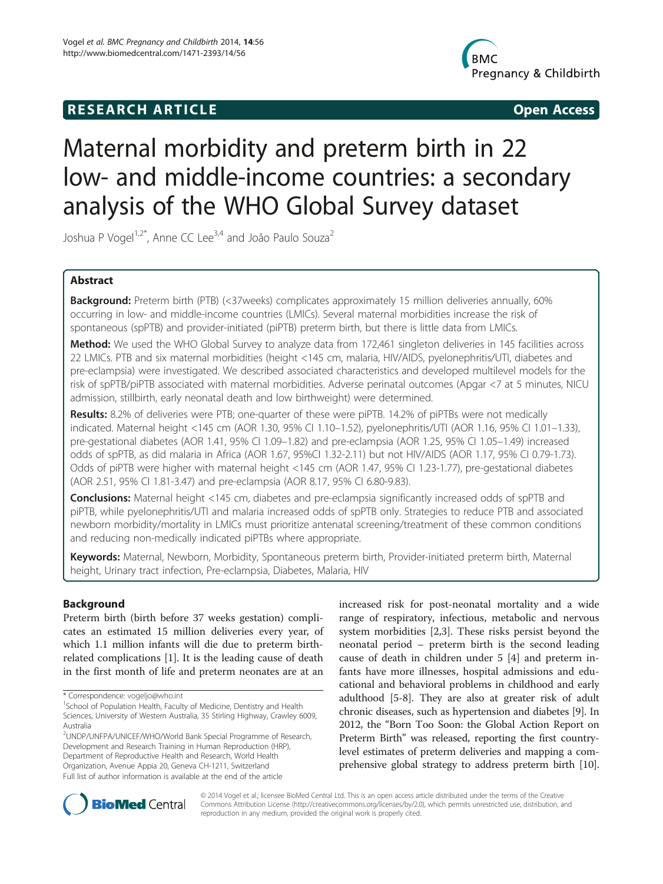# **RESEARCH ARTICLE Example 2014 CONSIDERING CONSIDERING CONSIDERING CONSIDERING CONSIDERING CONSIDERING CONSIDERING CONSIDERING CONSIDERING CONSIDERING CONSIDERING CONSIDERING CONSIDERING CONSIDERING CONSIDERING CONSIDE**



# Maternal morbidity and preterm birth in 22 low- and middle-income countries: a secondary analysis of the WHO Global Survey dataset

Joshua P Vogel<sup>1,2\*</sup>, Anne CC Lee<sup>3,4</sup> and João Paulo Souza<sup>2</sup>

# Abstract

Background: Preterm birth (PTB) (<37weeks) complicates approximately 15 million deliveries annually, 60% occurring in low- and middle-income countries (LMICs). Several maternal morbidities increase the risk of spontaneous (spPTB) and provider-initiated (piPTB) preterm birth, but there is little data from LMICs.

Method: We used the WHO Global Survey to analyze data from 172,461 singleton deliveries in 145 facilities across 22 LMICs. PTB and six maternal morbidities (height <145 cm, malaria, HIV/AIDS, pyelonephritis/UTI, diabetes and pre-eclampsia) were investigated. We described associated characteristics and developed multilevel models for the risk of spPTB/piPTB associated with maternal morbidities. Adverse perinatal outcomes (Apgar <7 at 5 minutes, NICU admission, stillbirth, early neonatal death and low birthweight) were determined.

Results: 8.2% of deliveries were PTB; one-quarter of these were piPTB. 14.2% of piPTBs were not medically indicated. Maternal height <145 cm (AOR 1.30, 95% CI 1.10–1.52), pyelonephritis/UTI (AOR 1.16, 95% CI 1.01–1.33), pre-gestational diabetes (AOR 1.41, 95% CI 1.09–1.82) and pre-eclampsia (AOR 1.25, 95% CI 1.05–1.49) increased odds of spPTB, as did malaria in Africa (AOR 1.67, 95%CI 1.32-2.11) but not HIV/AIDS (AOR 1.17, 95% CI 0.79-1.73). Odds of piPTB were higher with maternal height <145 cm (AOR 1.47, 95% CI 1.23-1.77), pre-gestational diabetes (AOR 2.51, 95% CI 1.81-3.47) and pre-eclampsia (AOR 8.17, 95% CI 6.80-9.83).

**Conclusions:** Maternal height <145 cm, diabetes and pre-eclampsia significantly increased odds of spPTB and piPTB, while pyelonephritis/UTI and malaria increased odds of spPTB only. Strategies to reduce PTB and associated newborn morbidity/mortality in LMICs must prioritize antenatal screening/treatment of these common conditions and reducing non-medically indicated piPTBs where appropriate.

Keywords: Maternal, Newborn, Morbidity, Spontaneous preterm birth, Provider-initiated preterm birth, Maternal height, Urinary tract infection, Pre-eclampsia, Diabetes, Malaria, HIV

# **Background**

Preterm birth (birth before 37 weeks gestation) complicates an estimated 15 million deliveries every year, of which 1.1 million infants will die due to preterm birthrelated complications [[1\]](#page-12-0). It is the leading cause of death in the first month of life and preterm neonates are at an

<sup>2</sup>UNDP/UNFPA/UNICEF/WHO/World Bank Special Programme of Research, Development and Research Training in Human Reproduction (HRP), Department of Reproductive Health and Research, World Health Organization, Avenue Appia 20, Geneva CH-1211, Switzerland Full list of author information is available at the end of the article

increased risk for post-neonatal mortality and a wide range of respiratory, infectious, metabolic and nervous system morbidities [[2,3\]](#page-12-0). These risks persist beyond the neonatal period – preterm birth is the second leading cause of death in children under 5 [\[4](#page-12-0)] and preterm infants have more illnesses, hospital admissions and educational and behavioral problems in childhood and early adulthood [[5-8\]](#page-12-0). They are also at greater risk of adult chronic diseases, such as hypertension and diabetes [\[9](#page-12-0)]. In 2012, the "Born Too Soon: the Global Action Report on Preterm Birth" was released, reporting the first countrylevel estimates of preterm deliveries and mapping a comprehensive global strategy to address preterm birth [[10](#page-12-0)].



© 2014 Vogel et al.; licensee BioMed Central Ltd. This is an open access article distributed under the terms of the Creative Commons Attribution License [\(http://creativecommons.org/licenses/by/2.0\)](http://creativecommons.org/licenses/by/2.0), which permits unrestricted use, distribution, and reproduction in any medium, provided the original work is properly cited.

<sup>\*</sup> Correspondence: [vogeljo@who.int](mailto:vogeljo@who.int) <sup>1</sup>

<sup>&</sup>lt;sup>1</sup>School of Population Health, Faculty of Medicine, Dentistry and Health Sciences, University of Western Australia, 35 Stirling Highway, Crawley 6009, Australia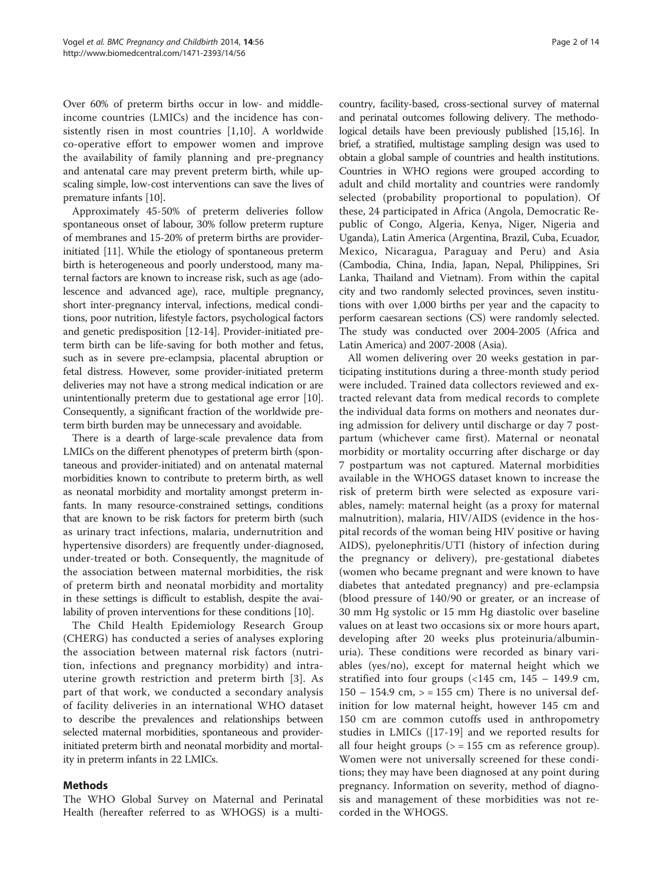Over 60% of preterm births occur in low- and middleincome countries (LMICs) and the incidence has consistently risen in most countries [\[1](#page-12-0),[10\]](#page-12-0). A worldwide co-operative effort to empower women and improve the availability of family planning and pre-pregnancy and antenatal care may prevent preterm birth, while upscaling simple, low-cost interventions can save the lives of premature infants [[10](#page-12-0)].

Approximately 45-50% of preterm deliveries follow spontaneous onset of labour, 30% follow preterm rupture of membranes and 15-20% of preterm births are providerinitiated [\[11\]](#page-12-0). While the etiology of spontaneous preterm birth is heterogeneous and poorly understood, many maternal factors are known to increase risk, such as age (adolescence and advanced age), race, multiple pregnancy, short inter-pregnancy interval, infections, medical conditions, poor nutrition, lifestyle factors, psychological factors and genetic predisposition [[12](#page-12-0)-[14](#page-13-0)]. Provider-initiated preterm birth can be life-saving for both mother and fetus, such as in severe pre-eclampsia, placental abruption or fetal distress. However, some provider-initiated preterm deliveries may not have a strong medical indication or are unintentionally preterm due to gestational age error [[10](#page-12-0)]. Consequently, a significant fraction of the worldwide preterm birth burden may be unnecessary and avoidable.

There is a dearth of large-scale prevalence data from LMICs on the different phenotypes of preterm birth (spontaneous and provider-initiated) and on antenatal maternal morbidities known to contribute to preterm birth, as well as neonatal morbidity and mortality amongst preterm infants. In many resource-constrained settings, conditions that are known to be risk factors for preterm birth (such as urinary tract infections, malaria, undernutrition and hypertensive disorders) are frequently under-diagnosed, under-treated or both. Consequently, the magnitude of the association between maternal morbidities, the risk of preterm birth and neonatal morbidity and mortality in these settings is difficult to establish, despite the availability of proven interventions for these conditions [\[10\]](#page-12-0).

The Child Health Epidemiology Research Group (CHERG) has conducted a series of analyses exploring the association between maternal risk factors (nutrition, infections and pregnancy morbidity) and intrauterine growth restriction and preterm birth [[3\]](#page-12-0). As part of that work, we conducted a secondary analysis of facility deliveries in an international WHO dataset to describe the prevalences and relationships between selected maternal morbidities, spontaneous and providerinitiated preterm birth and neonatal morbidity and mortality in preterm infants in 22 LMICs.

# Methods

The WHO Global Survey on Maternal and Perinatal Health (hereafter referred to as WHOGS) is a multi-

country, facility-based, cross-sectional survey of maternal and perinatal outcomes following delivery. The methodological details have been previously published [[15,16](#page-13-0)]. In brief, a stratified, multistage sampling design was used to obtain a global sample of countries and health institutions. Countries in WHO regions were grouped according to adult and child mortality and countries were randomly selected (probability proportional to population). Of these, 24 participated in Africa (Angola, Democratic Republic of Congo, Algeria, Kenya, Niger, Nigeria and Uganda), Latin America (Argentina, Brazil, Cuba, Ecuador, Mexico, Nicaragua, Paraguay and Peru) and Asia (Cambodia, China, India, Japan, Nepal, Philippines, Sri Lanka, Thailand and Vietnam). From within the capital city and two randomly selected provinces, seven institutions with over 1,000 births per year and the capacity to perform caesarean sections (CS) were randomly selected. The study was conducted over 2004-2005 (Africa and Latin America) and 2007-2008 (Asia).

All women delivering over 20 weeks gestation in participating institutions during a three-month study period were included. Trained data collectors reviewed and extracted relevant data from medical records to complete the individual data forms on mothers and neonates during admission for delivery until discharge or day 7 postpartum (whichever came first). Maternal or neonatal morbidity or mortality occurring after discharge or day 7 postpartum was not captured. Maternal morbidities available in the WHOGS dataset known to increase the risk of preterm birth were selected as exposure variables, namely: maternal height (as a proxy for maternal malnutrition), malaria, HIV/AIDS (evidence in the hospital records of the woman being HIV positive or having AIDS), pyelonephritis/UTI (history of infection during the pregnancy or delivery), pre-gestational diabetes (women who became pregnant and were known to have diabetes that antedated pregnancy) and pre-eclampsia (blood pressure of 140/90 or greater, or an increase of 30 mm Hg systolic or 15 mm Hg diastolic over baseline values on at least two occasions six or more hours apart, developing after 20 weeks plus proteinuria/albuminuria). These conditions were recorded as binary variables (yes/no), except for maternal height which we stratified into four groups (<145 cm, 145 – 149.9 cm,  $150 - 154.9$  cm,  $> = 155$  cm) There is no universal definition for low maternal height, however 145 cm and 150 cm are common cutoffs used in anthropometry studies in LMICs ([\[17-19](#page-13-0)] and we reported results for all four height groups  $(> = 155$  cm as reference group). Women were not universally screened for these conditions; they may have been diagnosed at any point during pregnancy. Information on severity, method of diagnosis and management of these morbidities was not recorded in the WHOGS.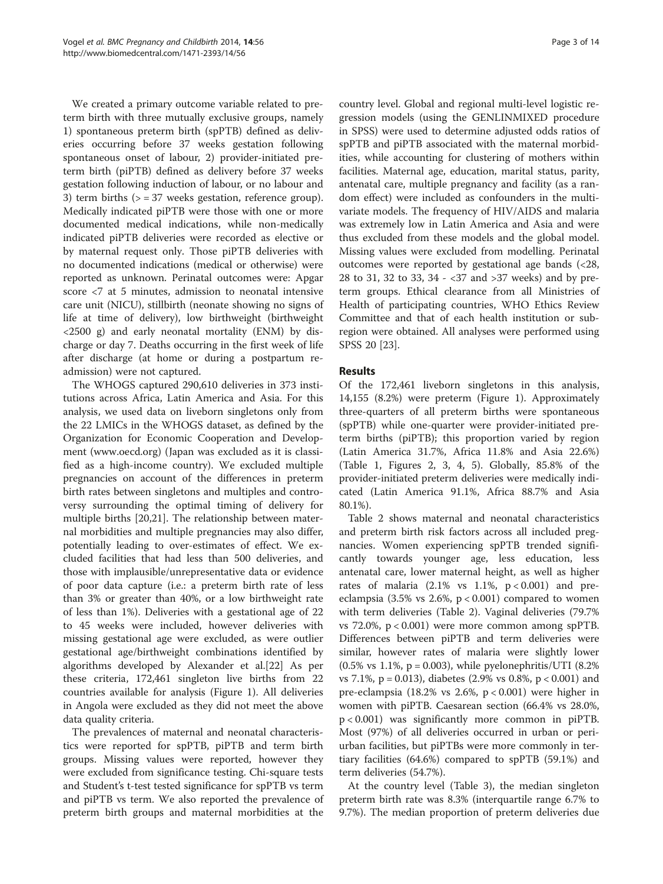We created a primary outcome variable related to preterm birth with three mutually exclusive groups, namely 1) spontaneous preterm birth (spPTB) defined as deliveries occurring before 37 weeks gestation following spontaneous onset of labour, 2) provider-initiated preterm birth (piPTB) defined as delivery before 37 weeks gestation following induction of labour, or no labour and 3) term births  $(>= 37$  weeks gestation, reference group). Medically indicated piPTB were those with one or more documented medical indications, while non-medically indicated piPTB deliveries were recorded as elective or by maternal request only. Those piPTB deliveries with no documented indications (medical or otherwise) were reported as unknown. Perinatal outcomes were: Apgar score <7 at 5 minutes, admission to neonatal intensive care unit (NICU), stillbirth (neonate showing no signs of life at time of delivery), low birthweight (birthweight <2500 g) and early neonatal mortality (ENM) by discharge or day 7. Deaths occurring in the first week of life after discharge (at home or during a postpartum readmission) were not captured.

The WHOGS captured 290,610 deliveries in 373 institutions across Africa, Latin America and Asia. For this analysis, we used data on liveborn singletons only from the 22 LMICs in the WHOGS dataset, as defined by the Organization for Economic Cooperation and Development [\(www.oecd.org\)](http://www.oecd.org) (Japan was excluded as it is classified as a high-income country). We excluded multiple pregnancies on account of the differences in preterm birth rates between singletons and multiples and controversy surrounding the optimal timing of delivery for multiple births [\[20,21](#page-13-0)]. The relationship between maternal morbidities and multiple pregnancies may also differ, potentially leading to over-estimates of effect. We excluded facilities that had less than 500 deliveries, and those with implausible/unrepresentative data or evidence of poor data capture (i.e.: a preterm birth rate of less than 3% or greater than 40%, or a low birthweight rate of less than 1%). Deliveries with a gestational age of 22 to 45 weeks were included, however deliveries with missing gestational age were excluded, as were outlier gestational age/birthweight combinations identified by algorithms developed by Alexander et al.[[22\]](#page-13-0) As per these criteria, 172,461 singleton live births from 22 countries available for analysis (Figure [1\)](#page-3-0). All deliveries in Angola were excluded as they did not meet the above data quality criteria.

The prevalences of maternal and neonatal characteristics were reported for spPTB, piPTB and term birth groups. Missing values were reported, however they were excluded from significance testing. Chi-square tests and Student's t-test tested significance for spPTB vs term and piPTB vs term. We also reported the prevalence of preterm birth groups and maternal morbidities at the

country level. Global and regional multi-level logistic regression models (using the GENLINMIXED procedure in SPSS) were used to determine adjusted odds ratios of spPTB and piPTB associated with the maternal morbidities, while accounting for clustering of mothers within facilities. Maternal age, education, marital status, parity, antenatal care, multiple pregnancy and facility (as a random effect) were included as confounders in the multivariate models. The frequency of HIV/AIDS and malaria was extremely low in Latin America and Asia and were thus excluded from these models and the global model. Missing values were excluded from modelling. Perinatal outcomes were reported by gestational age bands (<28, 28 to 31, 32 to 33, 34 - <37 and >37 weeks) and by preterm groups. Ethical clearance from all Ministries of Health of participating countries, WHO Ethics Review Committee and that of each health institution or subregion were obtained. All analyses were performed using SPSS 20 [\[23\]](#page-13-0).

# Results

Of the 172,461 liveborn singletons in this analysis, 14,155 (8.2%) were preterm (Figure [1\)](#page-3-0). Approximately three-quarters of all preterm births were spontaneous (spPTB) while one-quarter were provider-initiated preterm births (piPTB); this proportion varied by region (Latin America 31.7%, Africa 11.8% and Asia 22.6%) (Table [1,](#page-3-0) Figures [2, 3,](#page-4-0) [4, 5\)](#page-5-0). Globally, 85.8% of the provider-initiated preterm deliveries were medically indicated (Latin America 91.1%, Africa 88.7% and Asia 80.1%).

Table [2](#page-6-0) shows maternal and neonatal characteristics and preterm birth risk factors across all included pregnancies. Women experiencing spPTB trended significantly towards younger age, less education, less antenatal care, lower maternal height, as well as higher rates of malaria  $(2.1\% \text{ vs } 1.1\%, \text{ p} < 0.001)$  and preeclampsia (3.5% vs 2.6%,  $p < 0.001$ ) compared to women with term deliveries (Table [2](#page-6-0)). Vaginal deliveries (79.7% vs 72.0%, p < 0.001) were more common among spPTB. Differences between piPTB and term deliveries were similar, however rates of malaria were slightly lower  $(0.5\% \text{ vs } 1.1\%, \text{ p} = 0.003)$ , while pyelonephritis/UTI  $(8.2\%$ vs 7.1%,  $p = 0.013$ ), diabetes (2.9% vs 0.8%,  $p < 0.001$ ) and pre-eclampsia (18.2% vs 2.6%, p < 0.001) were higher in women with piPTB. Caesarean section (66.4% vs 28.0%, p < 0.001) was significantly more common in piPTB. Most (97%) of all deliveries occurred in urban or periurban facilities, but piPTBs were more commonly in tertiary facilities (64.6%) compared to spPTB (59.1%) and term deliveries (54.7%).

At the country level (Table [3](#page-8-0)), the median singleton preterm birth rate was 8.3% (interquartile range 6.7% to 9.7%). The median proportion of preterm deliveries due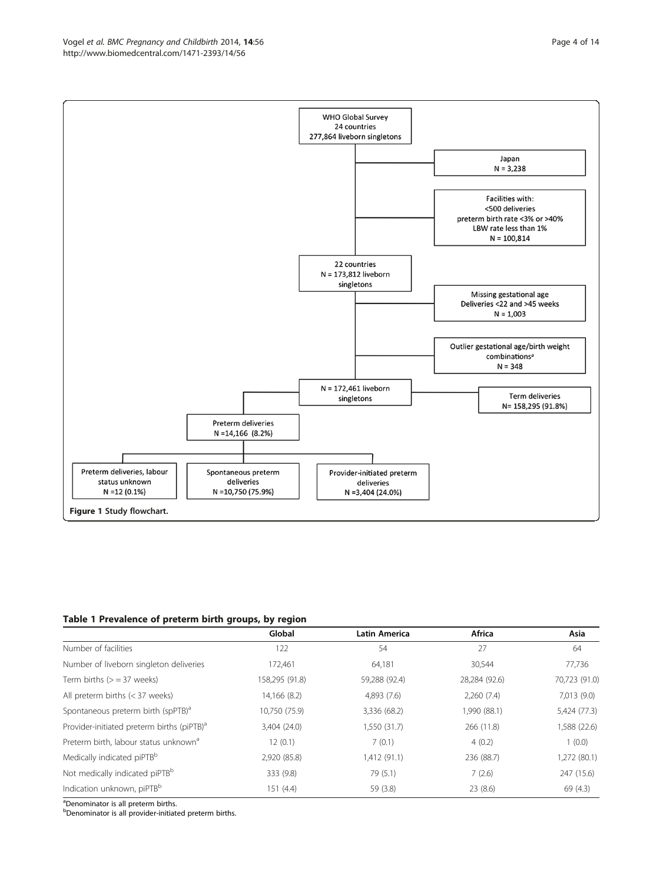<span id="page-3-0"></span>

#### Table 1 Prevalence of preterm birth groups, by region

|                                                        | Global         | Latin America | Africa        | Asia          |
|--------------------------------------------------------|----------------|---------------|---------------|---------------|
| Number of facilities                                   | 122            | 54            | 27            | 64            |
| Number of liveborn singleton deliveries                | 172,461        | 64,181        | 30,544        | 77,736        |
| Term births $(>= 37$ weeks)                            | 158,295 (91.8) | 59,288 (92.4) | 28,284 (92.6) | 70,723 (91.0) |
| All preterm births $(<$ 37 weeks)                      | 14,166 (8.2)   | 4,893 (7.6)   | 2,260(7.4)    | 7,013 (9.0)   |
| Spontaneous preterm birth (spPTB) <sup>a</sup>         | 10,750 (75.9)  | 3,336 (68.2)  | 1,990 (88.1)  | 5,424 (77.3)  |
| Provider-initiated preterm births (piPTB) <sup>a</sup> | 3,404 (24.0)   | 1,550 (31.7)  | 266 (11.8)    | 1,588 (22.6)  |
| Preterm birth, labour status unknown <sup>a</sup>      | 12(0.1)        | 7(0.1)        | 4(0.2)        | 1(0.0)        |
| Medically indicated piPTB <sup>b</sup>                 | 2,920 (85.8)   | 1,412 (91.1)  | 236 (88.7)    | 1,272 (80.1)  |
| Not medically indicated piPTB <sup>b</sup>             | 333 (9.8)      | 79 (5.1)      | 7(2.6)        | 247 (15.6)    |
| Indication unknown, piPTB <sup>b</sup>                 | 151 (4.4)      | 59 (3.8)      | 23(8.6)       | 69(4.3)       |

<sup>a</sup>Denominator is all preterm births.

<sup>b</sup>Denominator is all provider-initiated preterm births.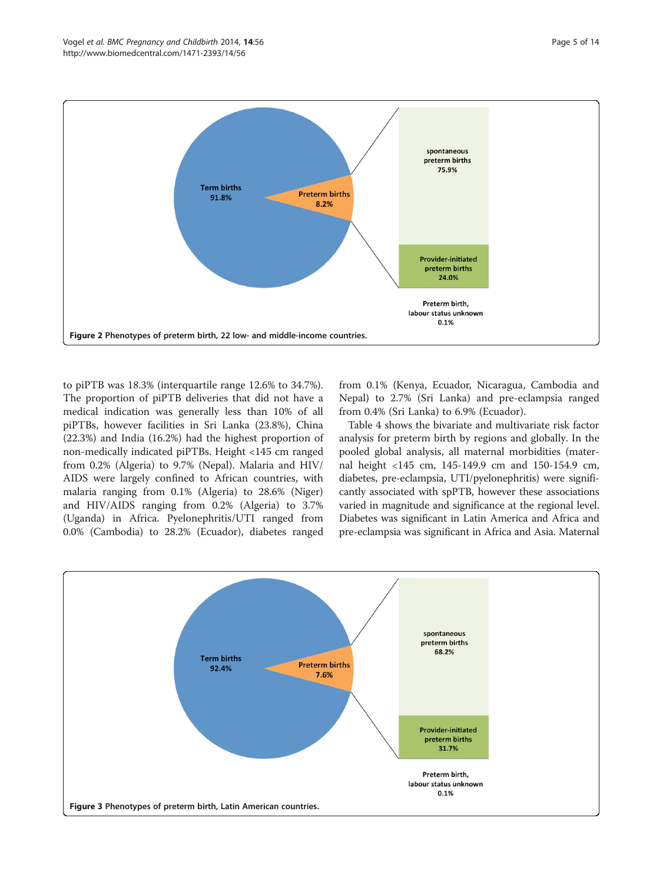<span id="page-4-0"></span>

to piPTB was 18.3% (interquartile range 12.6% to 34.7%). The proportion of piPTB deliveries that did not have a medical indication was generally less than 10% of all piPTBs, however facilities in Sri Lanka (23.8%), China (22.3%) and India (16.2%) had the highest proportion of non-medically indicated piPTBs. Height <145 cm ranged from 0.2% (Algeria) to 9.7% (Nepal). Malaria and HIV/ AIDS were largely confined to African countries, with malaria ranging from 0.1% (Algeria) to 28.6% (Niger) and HIV/AIDS ranging from 0.2% (Algeria) to 3.7% (Uganda) in Africa. Pyelonephritis/UTI ranged from 0.0% (Cambodia) to 28.2% (Ecuador), diabetes ranged

from 0.1% (Kenya, Ecuador, Nicaragua, Cambodia and Nepal) to 2.7% (Sri Lanka) and pre-eclampsia ranged from 0.4% (Sri Lanka) to 6.9% (Ecuador).

Table [4](#page-10-0) shows the bivariate and multivariate risk factor analysis for preterm birth by regions and globally. In the pooled global analysis, all maternal morbidities (maternal height <145 cm, 145-149.9 cm and 150-154.9 cm, diabetes, pre-eclampsia, UTI/pyelonephritis) were significantly associated with spPTB, however these associations varied in magnitude and significance at the regional level. Diabetes was significant in Latin America and Africa and pre-eclampsia was significant in Africa and Asia. Maternal

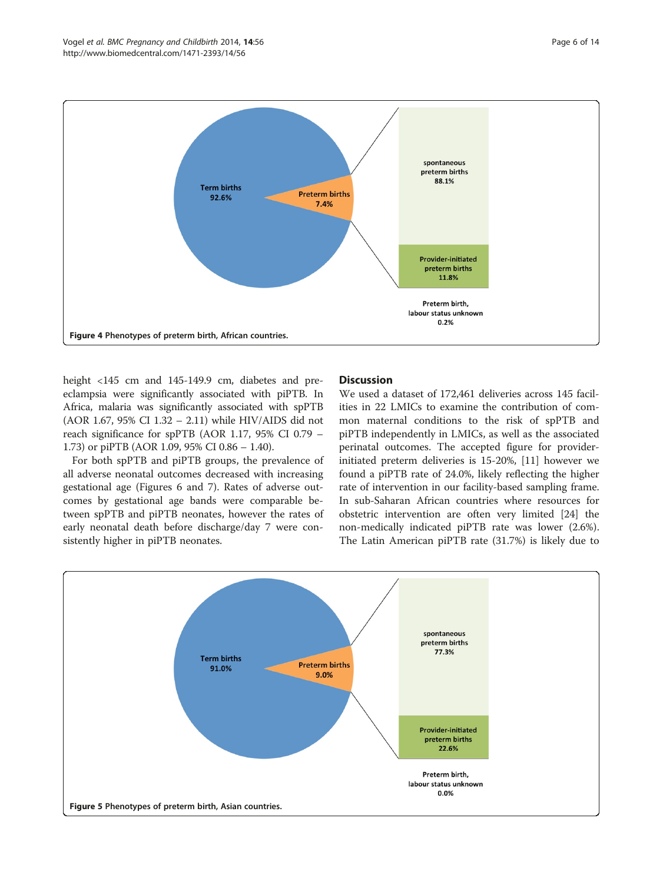<span id="page-5-0"></span>

height <145 cm and 145-149.9 cm, diabetes and preeclampsia were significantly associated with piPTB. In Africa, malaria was significantly associated with spPTB (AOR 1.67, 95% CI 1.32 – 2.11) while HIV/AIDS did not reach significance for spPTB (AOR 1.17, 95% CI 0.79 – 1.73) or piPTB (AOR 1.09, 95% CI 0.86 – 1.40).

For both spPTB and piPTB groups, the prevalence of all adverse neonatal outcomes decreased with increasing gestational age (Figures [6](#page-11-0) and [7\)](#page-11-0). Rates of adverse outcomes by gestational age bands were comparable between spPTB and piPTB neonates, however the rates of early neonatal death before discharge/day 7 were consistently higher in piPTB neonates.

# **Discussion**

We used a dataset of 172,461 deliveries across 145 facilities in 22 LMICs to examine the contribution of common maternal conditions to the risk of spPTB and piPTB independently in LMICs, as well as the associated perinatal outcomes. The accepted figure for providerinitiated preterm deliveries is 15-20%, [[11](#page-12-0)] however we found a piPTB rate of 24.0%, likely reflecting the higher rate of intervention in our facility-based sampling frame. In sub-Saharan African countries where resources for obstetric intervention are often very limited [[24\]](#page-13-0) the non-medically indicated piPTB rate was lower (2.6%). The Latin American piPTB rate (31.7%) is likely due to

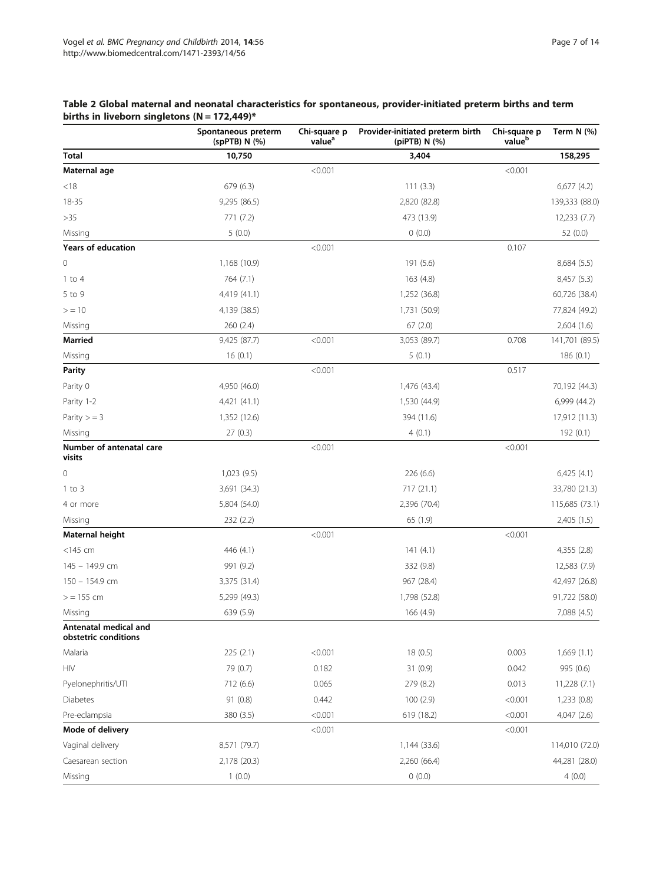|                                               | Spontaneous preterm<br>(spPTB) N (%) | Chi-square p<br>value <sup>a</sup> | Provider-initiated preterm birth<br>(piPTB) N (%) | Chi-square p<br>value <sup>b</sup> | Term N (%)     |
|-----------------------------------------------|--------------------------------------|------------------------------------|---------------------------------------------------|------------------------------------|----------------|
| <b>Total</b>                                  | 10,750                               |                                    | 3,404                                             |                                    | 158,295        |
| Maternal age                                  |                                      | < 0.001                            |                                                   | < 0.001                            |                |
| < 18                                          | 679(6.3)                             |                                    | 111(3.3)                                          |                                    | 6,677(4.2)     |
| 18-35                                         | 9,295 (86.5)                         |                                    | 2,820 (82.8)                                      |                                    | 139,333 (88.0) |
| $>35$                                         | 771 (7.2)                            |                                    | 473 (13.9)                                        |                                    | 12,233 (7.7)   |
| Missing                                       | 5(0.0)                               |                                    | 0(0.0)                                            |                                    | 52 (0.0)       |
| <b>Years of education</b>                     |                                      | < 0.001                            |                                                   | 0.107                              |                |
| 0                                             | 1,168 (10.9)                         |                                    | 191 (5.6)                                         |                                    | 8,684 (5.5)    |
| $1$ to $4$                                    | 764 (7.1)                            |                                    | 163 (4.8)                                         |                                    | 8,457 (5.3)    |
| 5 to 9                                        | 4,419 (41.1)                         |                                    | 1,252 (36.8)                                      |                                    | 60,726 (38.4)  |
| > 10                                          | 4,139 (38.5)                         |                                    | 1,731 (50.9)                                      |                                    | 77,824 (49.2)  |
| Missing                                       | 260 (2.4)                            |                                    | 67(2.0)                                           |                                    | 2,604(1.6)     |
| <b>Married</b>                                | 9,425 (87.7)                         | < 0.001                            | 3,053 (89.7)                                      | 0.708                              | 141,701 (89.5) |
| Missing                                       | 16(0.1)                              |                                    | 5(0.1)                                            |                                    | 186(0.1)       |
| Parity                                        |                                      | < 0.001                            |                                                   | 0.517                              |                |
| Parity 0                                      | 4,950 (46.0)                         |                                    | 1,476 (43.4)                                      |                                    | 70,192 (44.3)  |
| Parity 1-2                                    | 4,421 (41.1)                         |                                    | 1,530 (44.9)                                      |                                    | 6,999 (44.2)   |
| Parity $>$ = 3                                | 1,352 (12.6)                         |                                    | 394 (11.6)                                        |                                    | 17,912 (11.3)  |
| Missing                                       | 27(0.3)                              |                                    | 4(0.1)                                            |                                    | 192 (0.1)      |
| Number of antenatal care<br>visits            |                                      | < 0.001                            |                                                   | < 0.001                            |                |
| 0                                             | 1,023(9.5)                           |                                    | 226(6.6)                                          |                                    | 6,425(4.1)     |
| $1$ to $3$                                    | 3,691 (34.3)                         |                                    | 717 (21.1)                                        |                                    | 33,780 (21.3)  |
| 4 or more                                     | 5,804 (54.0)                         |                                    | 2,396 (70.4)                                      |                                    | 115,685 (73.1) |
| Missing                                       | 232 (2.2)                            |                                    | 65 (1.9)                                          |                                    | 2,405 (1.5)    |
| Maternal height                               |                                      | < 0.001                            |                                                   | < 0.001                            |                |
| $<$ 145 cm                                    | 446 (4.1)                            |                                    | 141(4.1)                                          |                                    | 4,355 (2.8)    |
| 145 - 149.9 cm                                | 991 (9.2)                            |                                    | 332 (9.8)                                         |                                    | 12,583 (7.9)   |
| 150 - 154.9 cm                                | 3,375 (31.4)                         |                                    | 967 (28.4)                                        |                                    | 42,497 (26.8)  |
| $>$ = 155 cm                                  | 5,299 (49.3)                         |                                    | 1,798 (52.8)                                      |                                    | 91,722 (58.0)  |
| Missing                                       | 639 (5.9)                            |                                    | 166 (4.9)                                         |                                    | 7,088 (4.5)    |
| Antenatal medical and<br>obstetric conditions |                                      |                                    |                                                   |                                    |                |
| Malaria                                       | 225 (2.1)                            | < 0.001                            | 18(0.5)                                           | 0.003                              | 1,669(1.1)     |
| HIV                                           | 79 (0.7)                             | 0.182                              | 31 (0.9)                                          | 0.042                              | 995 (0.6)      |
| Pyelonephritis/UTI                            | 712 (6.6)                            | 0.065                              | 279 (8.2)                                         | 0.013                              | 11,228 (7.1)   |
| Diabetes                                      | 91(0.8)                              | 0.442                              | 100(2.9)                                          | < 0.001                            | 1,233(0.8)     |
| Pre-eclampsia                                 | 380 (3.5)                            | < 0.001                            | 619 (18.2)                                        | < 0.001                            | 4,047(2.6)     |
| Mode of delivery                              |                                      | < 0.001                            |                                                   | < 0.001                            |                |
| Vaginal delivery                              | 8,571 (79.7)                         |                                    | 1,144 (33.6)                                      |                                    | 114,010 (72.0) |
| Caesarean section                             | 2,178 (20.3)                         |                                    | 2,260 (66.4)                                      |                                    | 44,281 (28.0)  |
| Missing                                       | 1(0.0)                               |                                    | 0(0.0)                                            |                                    | 4(0.0)         |

# <span id="page-6-0"></span>Table 2 Global maternal and neonatal characteristics for spontaneous, provider-initiated preterm births and term births in liveborn singletons ( $N = 172,449$ )\*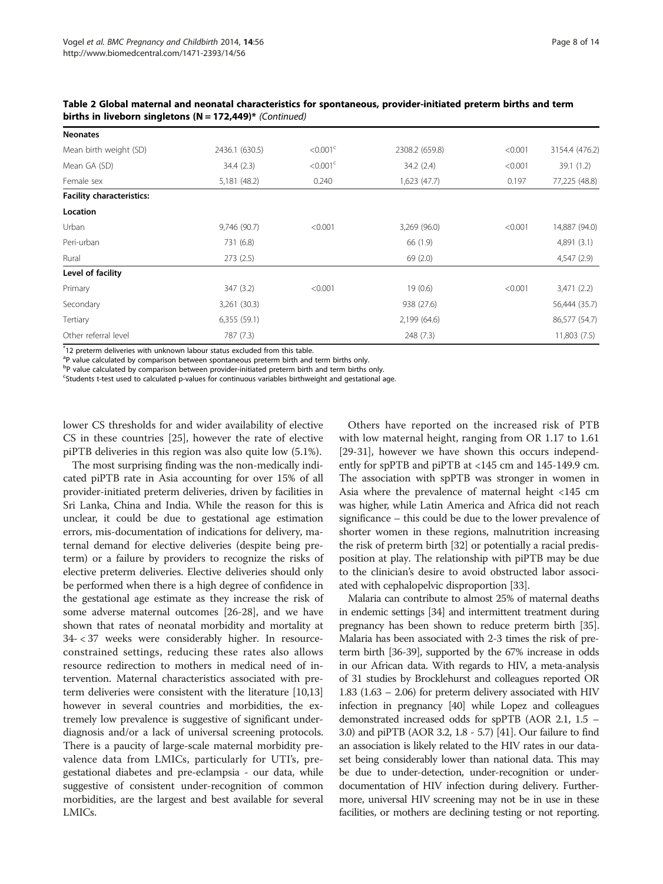| <b>Neonates</b>                  |                |               |                |         |                |
|----------------------------------|----------------|---------------|----------------|---------|----------------|
| Mean birth weight (SD)           | 2436.1 (630.5) | $<$ 0.001 $<$ | 2308.2 (659.8) | < 0.001 | 3154.4 (476.2) |
| Mean GA (SD)                     | 34.4(2.3)      | $<$ 0.001 $<$ | 34.2(2.4)      | < 0.001 | 39.1 (1.2)     |
| Female sex                       | 5,181 (48.2)   | 0.240         | 1,623 (47.7)   | 0.197   | 77,225 (48.8)  |
| <b>Facility characteristics:</b> |                |               |                |         |                |
| Location                         |                |               |                |         |                |
| Urban                            | 9,746 (90.7)   | < 0.001       | 3,269 (96.0)   | < 0.001 | 14,887 (94.0)  |
| Peri-urban                       | 731 (6.8)      |               | 66 (1.9)       |         | 4,891(3.1)     |
| Rural                            | 273(2.5)       |               | 69(2.0)        |         | 4,547(2.9)     |
| Level of facility                |                |               |                |         |                |
| Primary                          | 347 (3.2)      | < 0.001       | 19(0.6)        | < 0.001 | 3,471 (2.2)    |
| Secondary                        | 3,261 (30.3)   |               | 938 (27.6)     |         | 56,444 (35.7)  |
| Tertiary                         | 6,355(59.1)    |               | 2,199 (64.6)   |         | 86,577 (54.7)  |
| Other referral level             | 787 (7.3)      |               | 248 (7.3)      |         | 11,803(7.5)    |
|                                  |                |               |                |         |                |

Table 2 Global maternal and neonatal characteristics for spontaneous, provider-initiated preterm births and term births in liveborn singletons ( $N = 172,449$ )\* (Continued)

\* 12 preterm deliveries with unknown labour status excluded from this table.

<sup>a</sup>P value calculated by comparison between spontaneous preterm birth and term births only.

<sup>b</sup>P value calculated by comparison between provider-initiated preterm birth and term births only.

c Students t-test used to calculated p-values for continuous variables birthweight and gestational age.

lower CS thresholds for and wider availability of elective CS in these countries [\[25](#page-13-0)], however the rate of elective piPTB deliveries in this region was also quite low (5.1%).

The most surprising finding was the non-medically indicated piPTB rate in Asia accounting for over 15% of all provider-initiated preterm deliveries, driven by facilities in Sri Lanka, China and India. While the reason for this is unclear, it could be due to gestational age estimation errors, mis-documentation of indications for delivery, maternal demand for elective deliveries (despite being preterm) or a failure by providers to recognize the risks of elective preterm deliveries. Elective deliveries should only be performed when there is a high degree of confidence in the gestational age estimate as they increase the risk of some adverse maternal outcomes [\[26-28\]](#page-13-0), and we have shown that rates of neonatal morbidity and mortality at 34- < 37 weeks were considerably higher. In resourceconstrained settings, reducing these rates also allows resource redirection to mothers in medical need of intervention. Maternal characteristics associated with preterm deliveries were consistent with the literature [\[10,](#page-12-0)[13](#page-13-0)] however in several countries and morbidities, the extremely low prevalence is suggestive of significant underdiagnosis and/or a lack of universal screening protocols. There is a paucity of large-scale maternal morbidity prevalence data from LMICs, particularly for UTI's, pregestational diabetes and pre-eclampsia - our data, while suggestive of consistent under-recognition of common morbidities, are the largest and best available for several LMICs.

Others have reported on the increased risk of PTB with low maternal height, ranging from OR 1.17 to 1.61 [[29](#page-13-0)-[31\]](#page-13-0), however we have shown this occurs independently for spPTB and piPTB at <145 cm and 145-149.9 cm. The association with spPTB was stronger in women in Asia where the prevalence of maternal height <145 cm was higher, while Latin America and Africa did not reach significance – this could be due to the lower prevalence of shorter women in these regions, malnutrition increasing the risk of preterm birth [[32\]](#page-13-0) or potentially a racial predisposition at play. The relationship with piPTB may be due to the clinician's desire to avoid obstructed labor associated with cephalopelvic disproportion [\[33\]](#page-13-0).

Malaria can contribute to almost 25% of maternal deaths in endemic settings [[34](#page-13-0)] and intermittent treatment during pregnancy has been shown to reduce preterm birth [\[35](#page-13-0)]. Malaria has been associated with 2-3 times the risk of preterm birth [\[36-39](#page-13-0)], supported by the 67% increase in odds in our African data. With regards to HIV, a meta-analysis of 31 studies by Brocklehurst and colleagues reported OR 1.83 (1.63 – 2.06) for preterm delivery associated with HIV infection in pregnancy [\[40](#page-13-0)] while Lopez and colleagues demonstrated increased odds for spPTB (AOR 2.1, 1.5 – 3.0) and piPTB (AOR 3.2, 1.8 - 5.7) [\[41\]](#page-13-0). Our failure to find an association is likely related to the HIV rates in our dataset being considerably lower than national data. This may be due to under-detection, under-recognition or underdocumentation of HIV infection during delivery. Furthermore, universal HIV screening may not be in use in these facilities, or mothers are declining testing or not reporting.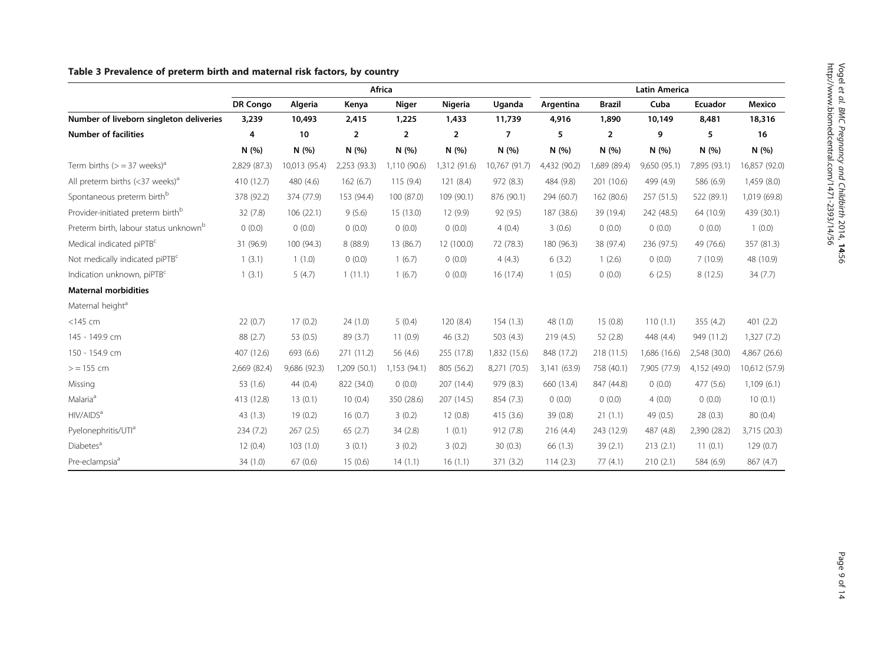# <span id="page-8-0"></span>Table 3 Prevalence of preterm birth and maternal risk factors, by country

|                                                   | Africa          |               |              |                |                | <b>Latin America</b> |              |                |              |              |               |
|---------------------------------------------------|-----------------|---------------|--------------|----------------|----------------|----------------------|--------------|----------------|--------------|--------------|---------------|
|                                                   | <b>DR Congo</b> | Algeria       | Kenya        | <b>Niger</b>   | Nigeria        | Uganda               | Argentina    | <b>Brazil</b>  | Cuba         | Ecuador      | Mexico        |
| Number of liveborn singleton deliveries           | 3,239           | 10,493        | 2,415        | 1,225          | 1,433          | 11,739               | 4,916        | 1,890          | 10,149       | 8,481        | 18,316        |
| <b>Number of facilities</b>                       | 4               | 10            | 2            | $\overline{2}$ | $\overline{2}$ | 7                    | 5            | $\overline{2}$ | 9            | 5            | 16            |
|                                                   | N(%)            | N(%)          | N(%)         | N(%)           | N (%)          | N(%)                 | N(%)         | N(%)           | N(%)         | N(%)         | N (%)         |
| Term births ( $>$ = 37 weeks) <sup>a</sup>        | 2,829 (87.3)    | 10,013 (95.4) | 2,253 (93.3) | 1,110 (90.6)   | 1,312 (91.6)   | 10,767 (91.7)        | 4,432 (90.2) | 1,689 (89.4)   | 9,650 (95.1) | 7,895 (93.1) | 16,857 (92.0) |
| All preterm births $(<$ 37 weeks) <sup>a</sup>    | 410 (12.7)      | 480 (4.6)     | 162(6.7)     | 115(9.4)       | 121(8.4)       | 972 (8.3)            | 484 (9.8)    | 201 (10.6)     | 499 (4.9)    | 586 (6.9)    | 1,459 (8.0)   |
| Spontaneous preterm birth <sup>b</sup>            | 378 (92.2)      | 374 (77.9)    | 153 (94.4)   | 100 (87.0)     | 109 (90.1)     | 876 (90.1)           | 294 (60.7)   | 162 (80.6)     | 257 (51.5)   | 522 (89.1)   | 1,019 (69.8)  |
| Provider-initiated preterm birth <sup>b</sup>     | 32 (7.8)        | 106 (22.1)    | 9(5.6)       | 15 (13.0)      | 12(9.9)        | 92 (9.5)             | 187 (38.6)   | 39 (19.4)      | 242 (48.5)   | 64 (10.9)    | 439 (30.1)    |
| Preterm birth, labour status unknown <sup>b</sup> | 0(0.0)          | 0(0.0)        | 0(0.0)       | 0(0.0)         | 0(0.0)         | 4(0.4)               | 3(0.6)       | 0(0.0)         | 0(0.0)       | 0(0.0)       | 1(0.0)        |
| Medical indicated piPTB <sup>c</sup>              | 31 (96.9)       | 100 (94.3)    | 8 (88.9)     | 13 (86.7)      | 12 (100.0)     | 72 (78.3)            | 180 (96.3)   | 38 (97.4)      | 236 (97.5)   | 49 (76.6)    | 357 (81.3)    |
| Not medically indicated piPTB <sup>c</sup>        | 1(3.1)          | 1(1.0)        | 0(0.0)       | 1(6.7)         | 0(0.0)         | 4(4.3)               | 6(3.2)       | 1(2.6)         | 0(0.0)       | 7(10.9)      | 48 (10.9)     |
| Indication unknown, piPTB <sup>c</sup>            | 1(3.1)          | 5(4.7)        | 1(11.1)      | 1(6.7)         | 0(0.0)         | 16 (17.4)            | 1(0.5)       | 0(0.0)         | 6(2.5)       | 8(12.5)      | 34(7.7)       |
| <b>Maternal morbidities</b>                       |                 |               |              |                |                |                      |              |                |              |              |               |
| Maternal height <sup>a</sup>                      |                 |               |              |                |                |                      |              |                |              |              |               |
| $<$ 145 cm                                        | 22(0.7)         | 17(0.2)       | 24(1.0)      | 5(0.4)         | 120(8.4)       | 154(1.3)             | 48 (1.0)     | 15(0.8)        | 110(1.1)     | 355 (4.2)    | 401(2.2)      |
| 145 - 149.9 cm                                    | 88 (2.7)        | 53 (0.5)      | 89 (3.7)     | 11(0.9)        | 46(3.2)        | 503(4.3)             | 219(4.5)     | 52 (2.8)       | 448 (4.4)    | 949 (11.2)   | 1,327(7.2)    |
| 150 - 154.9 cm                                    | 407 (12.6)      | 693 (6.6)     | 271 (11.2)   | 56 (4.6)       | 255 (17.8)     | 1,832 (15.6)         | 848 (17.2)   | 218 (11.5)     | 1,686 (16.6) | 2,548 (30.0) | 4,867 (26.6)  |
| $>$ = 155 cm                                      | 2,669 (82.4)    | 9,686 (92.3)  | 1,209 (50.1) | 1,153 (94.1)   | 805 (56.2)     | 8,271 (70.5)         | 3,141 (63.9) | 758 (40.1)     | 7,905 (77.9) | 4,152 (49.0) | 10,612 (57.9) |
| Missing                                           | 53 (1.6)        | 44 $(0.4)$    | 822 (34.0)   | 0(0.0)         | 207 (14.4)     | 979 (8.3)            | 660 (13.4)   | 847 (44.8)     | 0(0.0)       | 477 (5.6)    | 1,109(6.1)    |
| Malaria <sup>a</sup>                              | 413 (12.8)      | 13(0.1)       | 10(0.4)      | 350 (28.6)     | 207 (14.5)     | 854 (7.3)            | 0(0.0)       | 0(0.0)         | 4(0.0)       | 0(0.0)       | 10(0.1)       |
| HIV/AIDS <sup>a</sup>                             | 43(1.3)         | 19(0.2)       | 16(0.7)      | 3(0.2)         | 12(0.8)        | 415(3.6)             | 39(0.8)      | 21(1.1)        | 49 (0.5)     | 28(0.3)      | 80(0.4)       |
| Pyelonephritis/UTI <sup>a</sup>                   | 234(7.2)        | 267(2.5)      | 65(2.7)      | 34 (2.8)       | 1(0.1)         | 912 (7.8)            | 216(4.4)     | 243 (12.9)     | 487 (4.8)    | 2,390 (28.2) | 3,715 (20.3)  |
| <b>Diabetes<sup>a</sup></b>                       | 12(0.4)         | 103(1.0)      | 3(0.1)       | 3(0.2)         | 3(0.2)         | 30(0.3)              | 66 (1.3)     | 39(2.1)        | 213(2.1)     | 11(0.1)      | 129(0.7)      |
| Pre-eclampsia <sup>a</sup>                        | 34(1.0)         | 67(0.6)       | 15(0.6)      | 14(1.1)        | 16(1.1)        | 371 (3.2)            | 114(2.3)     | 77(4.1)        | 210(2.1)     | 584 (6.9)    | 867 (4.7)     |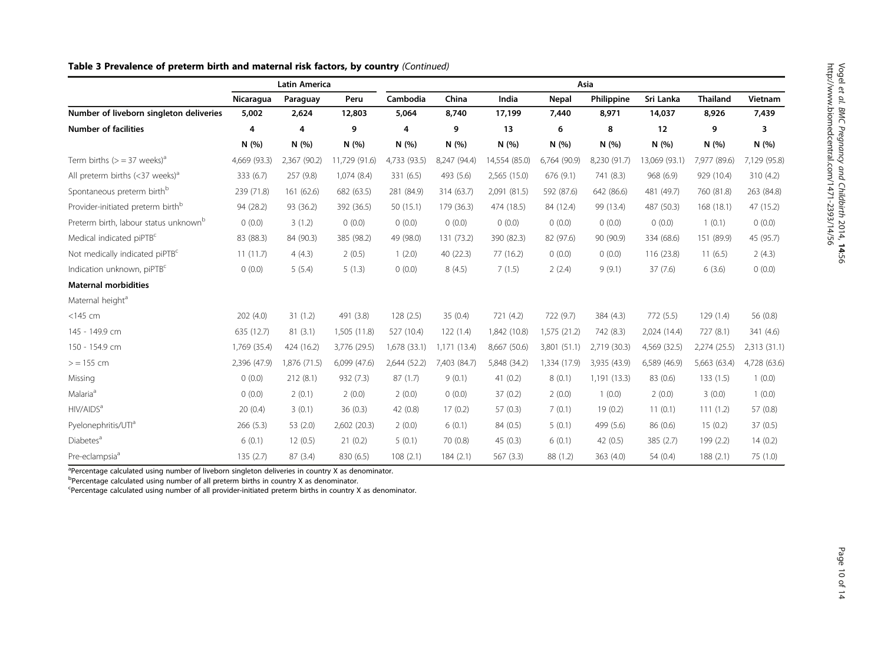|                                                   | Latin America |              |                  |              | Asia         |               |              |              |               |                 |              |
|---------------------------------------------------|---------------|--------------|------------------|--------------|--------------|---------------|--------------|--------------|---------------|-----------------|--------------|
|                                                   | Nicaragua     | Paraguay     | Peru             | Cambodia     | China        | India         | <b>Nepal</b> | Philippine   | Sri Lanka     | <b>Thailand</b> | Vietnam      |
| Number of liveborn singleton deliveries           | 5,002         | 2,624        | 12,803           | 5,064        | 8,740        | 17,199        | 7,440        | 8,971        | 14,037        | 8,926           | 7,439        |
| <b>Number of facilities</b>                       | 4             | 4            | 9                | 4            | 9            | 13            | 6            | 8            | 12            | 9               | 3            |
|                                                   | N(%)          | N(%)         | N(%)             | N(%)         | N(%)         | N(%)          | N(%)         | N(%)         | N(%)          | N(%)            | N(%)         |
| Term births ( $>$ = 37 weeks) <sup>a</sup>        | 4,669 (93.3)  | 2,367 (90.2) | 11,729 (91.6)    | 4,733 (93.5) | 8,247 (94.4) | 14,554 (85.0) | 6,764 (90.9) | 8,230 (91.7) | 13,069 (93.1) | 7,977 (89.6)    | 7,129 (95.8) |
| All preterm births (<37 weeks) <sup>a</sup>       | 333 (6.7)     | 257 (9.8)    | 1,074(8.4)       | 331 (6.5)    | 493 (5.6)    | 2,565 (15.0)  | 676 (9.1)    | 741 (8.3)    | 968 (6.9)     | 929 (10.4)      | 310 (4.2)    |
| Spontaneous preterm birth <sup>b</sup>            | 239 (71.8)    | 161 (62.6)   | 682 (63.5)       | 281 (84.9)   | 314 (63.7)   | 2,091 (81.5)  | 592 (87.6)   | 642 (86.6)   | 481 (49.7)    | 760 (81.8)      | 263 (84.8)   |
| Provider-initiated preterm birth <sup>b</sup>     | 94 (28.2)     | 93 (36.2)    | 392 (36.5)       | 50 (15.1)    | 179 (36.3)   | 474 (18.5)    | 84 (12.4)    | 99 (13.4)    | 487 (50.3)    | 168 (18.1)      | 47 (15.2)    |
| Preterm birth, labour status unknown <sup>b</sup> | 0(0.0)        | 3(1.2)       | 0(0.0)           | 0(0.0)       | 0(0.0)       | 0(0.0)        | 0(0.0)       | 0(0.0)       | 0(0.0)        | 1(0.1)          | 0(0.0)       |
| Medical indicated piPTB <sup>c</sup>              | 83 (88.3)     | 84 (90.3)    | 385 (98.2)       | 49 (98.0)    | 131 (73.2)   | 390 (82.3)    | 82 (97.6)    | 90 (90.9)    | 334 (68.6)    | 151 (89.9)      | 45 (95.7)    |
| Not medically indicated piPTB <sup>c</sup>        | 11(11.7)      | 4(4.3)       | 2(0.5)           | 1(2.0)       | 40(22.3)     | 77 (16.2)     | 0(0.0)       | 0(0.0)       | 116 (23.8)    | 11(6.5)         | 2(4.3)       |
| Indication unknown, piPTB <sup>c</sup>            | 0(0.0)        | 5(5.4)       | 5(1.3)           | 0(0.0)       | 8(4.5)       | 7(1.5)        | 2(2.4)       | 9(9.1)       | 37(7.6)       | 6(3.6)          | 0(0.0)       |
| <b>Maternal morbidities</b>                       |               |              |                  |              |              |               |              |              |               |                 |              |
| Maternal height <sup>a</sup>                      |               |              |                  |              |              |               |              |              |               |                 |              |
| $<$ 145 cm                                        | 202(4.0)      | 31(1.2)      | 491 (3.8)        | 128(2.5)     | 35(0.4)      | 721 (4.2)     | 722 (9.7)    | 384 (4.3)    | 772 (5.5)     | 129(1.4)        | 56 (0.8)     |
| 145 - 149.9 cm                                    | 635 (12.7)    | 81(3.1)      | 1,505 (11.8)     | 527 (10.4)   | 122(1.4)     | 1,842 (10.8)  | 1,575 (21.2) | 742 (8.3)    | 2,024 (14.4)  | 727 (8.1)       | 341 (4.6)    |
| 150 - 154.9 cm                                    | 1,769 (35.4)  | 424 (16.2)   | 3,776 (29.5)     | 1,678 (33.1) | 1,171 (13.4) | 8,667 (50.6)  | 3,801 (51.1) | 2,719 (30.3) | 4,569 (32.5)  | 2,274 (25.5)    | 2,313 (31.1) |
| $>$ = 155 cm                                      | 2,396 (47.9)  | 1,876 (71.5) | $6,099$ $(47.6)$ | 2,644(52.2)  | 7,403 (84.7) | 5,848 (34.2)  | 1,334 (17.9) | 3,935 (43.9) | 6,589 (46.9)  | 5,663 (63.4)    | 4,728 (63.6) |
| Missing                                           | 0(0.0)        | 212(8.1)     | 932 (7.3)        | 87(1.7)      | 9(0.1)       | 41(0.2)       | 8(0.1)       | 1,191 (13.3) | 83 (0.6)      | 133(1.5)        | 1(0.0)       |
| Malaria <sup>a</sup>                              | 0(0.0)        | 2(0.1)       | 2(0.0)           | 2(0.0)       | 0(0.0)       | 37(0.2)       | 2(0.0)       | 1(0.0)       | 2(0.0)        | 3(0.0)          | 1(0.0)       |
| HIV/AIDS <sup>a</sup>                             | 20(0.4)       | 3(0.1)       | 36(0.3)          | 42 (0.8)     | 17(0.2)      | 57(0.3)       | 7(0.1)       | 19(0.2)      | 11(0.1)       | 111(1.2)        | 57 (0.8)     |
| Pyelonephritis/UTI <sup>a</sup>                   | 266 (5.3)     | 53 $(2.0)$   | 2,602 (20.3)     | 2(0.0)       | 6(0.1)       | 84 (0.5)      | 5(0.1)       | 499 (5.6)    | 86 (0.6)      | 15(0.2)         | 37(0.5)      |
| Diabetes <sup>a</sup>                             | 6(0.1)        | 12(0.5)      | 21(0.2)          | 5(0.1)       | 70 (0.8)     | 45(0.3)       | 6(0.1)       | 42(0.5)      | 385 (2.7)     | 199 (2.2)       | 14(0.2)      |
| Pre-eclampsia <sup>a</sup>                        | 135(2.7)      | 87(3.4)      | 830 (6.5)        | 108(2.1)     | 184(2.1)     | 567 (3.3)     | 88 (1.2)     | 363 (4.0)    | 54 (0.4)      | 188(2.1)        | 75 (1.0)     |

# Table 3 Prevalence of preterm birth and maternal risk factors, by country (Continued)

<sup>a</sup>Percentage calculated using number of liveborn singleton deliveries in country X as denominator.<br><sup>b</sup>Percentage calculated using number of all preterm births in country X as denominator.

<sup>c</sup>Percentage calculated using number of all provider-initiated preterm births in country X as denominator.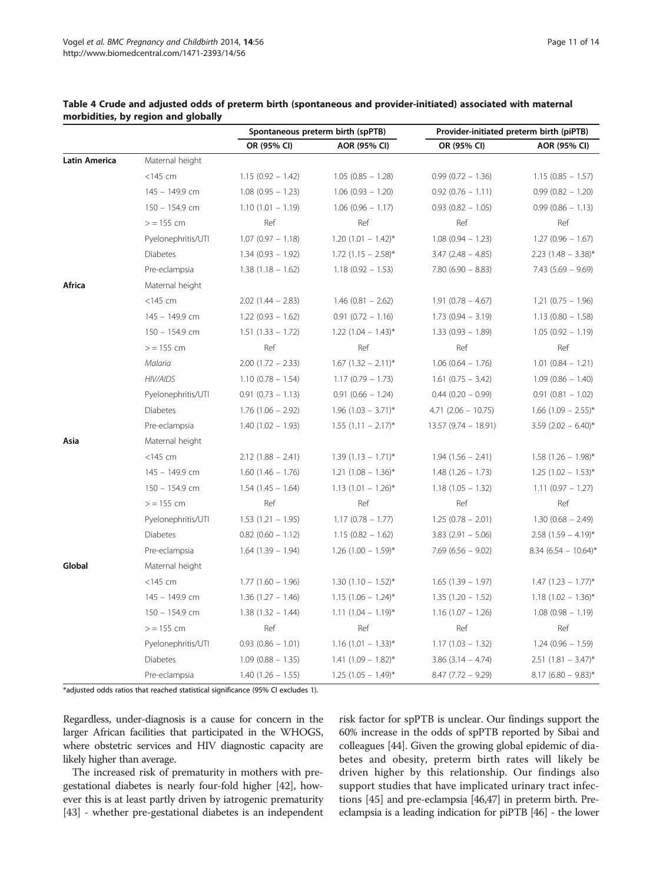|                      |                    |                        | Spontaneous preterm birth (spPTB) |                        | Provider-initiated preterm birth (piPTB) |
|----------------------|--------------------|------------------------|-----------------------------------|------------------------|------------------------------------------|
|                      |                    | OR (95% CI)            | AOR (95% CI)                      | OR (95% CI)            | AOR (95% CI)                             |
| <b>Latin America</b> | Maternal height    |                        |                                   |                        |                                          |
|                      | $<$ 145 cm         | $1.15(0.92 - 1.42)$    | $1.05(0.85 - 1.28)$               | $0.99(0.72 - 1.36)$    | $1.15(0.85 - 1.57)$                      |
|                      | 145 - 149.9 cm     | $1.08(0.95 - 1.23)$    | $1.06(0.93 - 1.20)$               | $0.92$ (0.76 - 1.11)   | $0.99$ $(0.82 - 1.20)$                   |
|                      | 150 - 154.9 cm     | $1.10(1.01 - 1.19)$    | $1.06(0.96 - 1.17)$               | $0.93(0.82 - 1.05)$    | $0.99$ (0.86 - 1.13)                     |
|                      | $> = 155$ cm       | Ref                    | Ref                               | Ref                    | Ref                                      |
|                      | Pyelonephritis/UTI | $1.07(0.97 - 1.18)$    | $1.20(1.01 - 1.42)^{*}$           | $1.08(0.94 - 1.23)$    | $1.27(0.96 - 1.67)$                      |
|                      | <b>Diabetes</b>    | $1.34(0.93 - 1.92)$    | $1.72$ (1.15 - 2.58)*             | $3.47$ (2.48 - 4.85)   | $2.23$ (1.48 - 3.38)*                    |
|                      | Pre-eclampsia      | $1.38(1.18 - 1.62)$    | $1.18(0.92 - 1.53)$               | $7.80(6.90 - 8.83)$    | $7.43$ (5.69 - 9.69)                     |
| <b>Africa</b>        | Maternal height    |                        |                                   |                        |                                          |
|                      | $<$ 145 cm         | $2.02$ (1.44 – 2.83)   | $1.46(0.81 - 2.62)$               | $1.91(0.78 - 4.67)$    | $1.21$ (0.75 - 1.96)                     |
|                      | 145 - 149.9 cm     | $1.22(0.93 - 1.62)$    | $0.91$ $(0.72 - 1.16)$            | $1.73(0.94 - 3.19)$    | $1.13$ (0.80 - 1.58)                     |
|                      | 150 - 154.9 cm     | $1.51(1.33 - 1.72)$    | $1.22$ $(1.04 - 1.43)^*$          | $1.33(0.93 - 1.89)$    | $1.05(0.92 - 1.19)$                      |
|                      | $>$ = 155 cm       | Ref                    | Ref                               | Ref                    | Ref                                      |
|                      | Malaria            | $2.00$ (1.72 - 2.33)   | $1.67$ $(1.32 - 2.11)^*$          | $1.06$ (0.64 - 1.76)   | $1.01$ $(0.84 - 1.21)$                   |
|                      | <b>HIV/AIDS</b>    | $1.10(0.78 - 1.54)$    | $1.17(0.79 - 1.73)$               | $1.61$ (0.75 - 3.42)   | $1.09$ (0.86 - 1.40)                     |
|                      | Pyelonephritis/UTI | $0.91$ $(0.73 - 1.13)$ | $0.91$ $(0.66 - 1.24)$            | $0.44$ $(0.20 - 0.99)$ | $0.91$ $(0.81 - 1.02)$                   |
|                      | <b>Diabetes</b>    | $1.76(1.06 - 2.92)$    | $1.96$ (1.03 - 3.71)*             | $4.71$ (2.06 - 10.75)  | $1.66$ (1.09 – 2.55)*                    |
|                      | Pre-eclampsia      | $1.40(1.02 - 1.93)$    | $1.55$ $(1.11 - 2.17)^{*}$        | $13.57(9.74 - 18.91)$  | $3.59$ (2.02 - 6.40)*                    |
| Asia                 | Maternal height    |                        |                                   |                        |                                          |
|                      | $<$ 145 cm         | $2.12(1.88 - 2.41)$    | $1.39(1.13 - 1.71)^{*}$           | $1.94(1.56 - 2.41)$    | $1.58$ (1.26 - 1.98)*                    |
|                      | 145 - 149.9 cm     | $1.60$ (1.46 - 1.76)   | $1.21$ $(1.08 - 1.36)^*$          | $1.48(1.26 - 1.73)$    | $1.25$ $(1.02 - 1.53)^{*}$               |
|                      | 150 - 154.9 cm     | $1.54(1.45 - 1.64)$    | $1.13$ $(1.01 - 1.26)^{*}$        | $1.18(1.05 - 1.32)$    | $1.11(0.97 - 1.27)$                      |
|                      | $>$ = 155 cm       | Ref                    | Ref                               | Ref                    | Ref                                      |
|                      | Pyelonephritis/UTI | $1.53(1.21 - 1.95)$    | $1.17(0.78 - 1.77)$               | $1.25(0.78 - 2.01)$    | $1.30(0.68 - 2.49)$                      |
|                      | <b>Diabetes</b>    | $0.82$ (0.60 - 1.12)   | $1.15(0.82 - 1.62)$               | $3.83$ (2.91 - 5.06)   | $2.58$ (1.59 - 4.19)*                    |
|                      | Pre-eclampsia      | $1.64$ $(1.39 - 1.94)$ | $1.26$ (1.00 - 1.59)*             | $7.69$ (6.56 - 9.02)   | $8.34$ (6.54 - 10.64)*                   |
| Global               | Maternal height    |                        |                                   |                        |                                          |
|                      | $<$ 145 cm         | $1.77(1.60 - 1.96)$    | $1.30(1.10 - 1.52)^{*}$           | $1.65$ $(1.39 - 1.97)$ | $1.47$ (1.23 - 1.77)*                    |
|                      | 145 - 149.9 cm     | $1.36(1.27 - 1.46)$    | $1.15$ $(1.06 - 1.24)^{*}$        | $1.35(1.20 - 1.52)$    | $1.18$ (1.02 - 1.36)*                    |
|                      | 150 - 154.9 cm     | $1.38(1.32 - 1.44)$    | $1.11 (1.04 - 1.19)^{*}$          | $1.16(1.07 - 1.26)$    | $1.08$ (0.98 - 1.19)                     |
|                      | $>$ = 155 cm       | Ref                    | Ref                               | Ref                    | Ref                                      |
|                      | Pyelonephritis/UTI | $0.93(0.86 - 1.01)$    | $1.16$ (1.01 - 1.33)*             | $1.17(1.03 - 1.32)$    | $1.24(0.96 - 1.59)$                      |
|                      | <b>Diabetes</b>    | $1.09(0.88 - 1.35)$    | $1.41$ $(1.09 - 1.82)^{*}$        | $3.86$ $(3.14 - 4.74)$ | $2.51$ (1.81 - 3.47)*                    |
|                      | Pre-eclampsia      | $1.40(1.26 - 1.55)$    | $1.25$ $(1.05 - 1.49)^*$          | $8.47(7.72 - 9.29)$    | $8.17(6.80 - 9.83)^{*}$                  |

#### <span id="page-10-0"></span>Table 4 Crude and adjusted odds of preterm birth (spontaneous and provider-initiated) associated with maternal morbidities, by region and globally

\*adjusted odds ratios that reached statistical significance (95% CI excludes 1).

Regardless, under-diagnosis is a cause for concern in the larger African facilities that participated in the WHOGS, where obstetric services and HIV diagnostic capacity are likely higher than average.

The increased risk of prematurity in mothers with pregestational diabetes is nearly four-fold higher [\[42\]](#page-13-0), however this is at least partly driven by iatrogenic prematurity [[43](#page-13-0)] - whether pre-gestational diabetes is an independent risk factor for spPTB is unclear. Our findings support the 60% increase in the odds of spPTB reported by Sibai and colleagues [\[44\]](#page-13-0). Given the growing global epidemic of diabetes and obesity, preterm birth rates will likely be driven higher by this relationship. Our findings also support studies that have implicated urinary tract infections [[45\]](#page-13-0) and pre-eclampsia [\[46,47\]](#page-13-0) in preterm birth. Preeclampsia is a leading indication for piPTB [[46](#page-13-0)] - the lower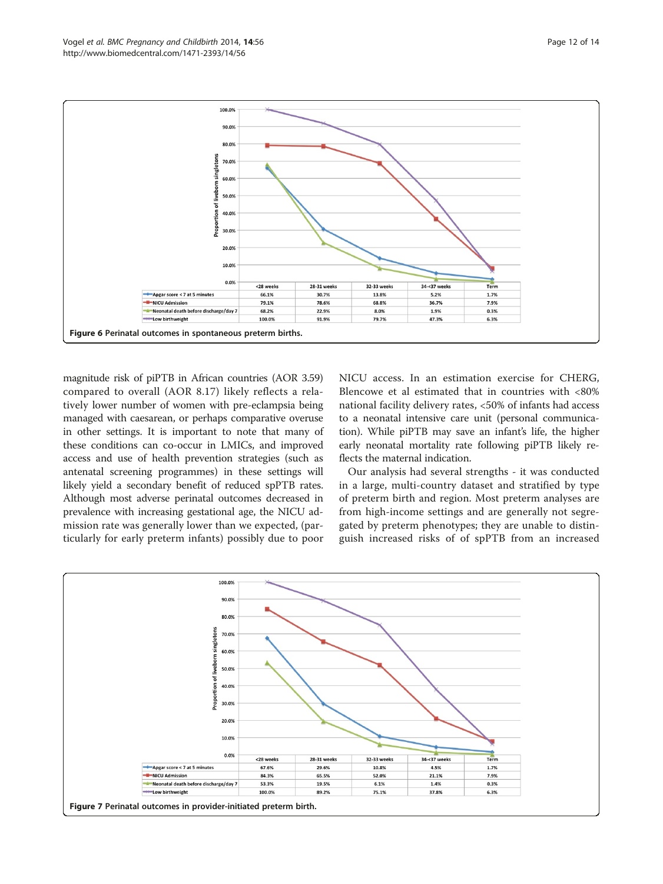<span id="page-11-0"></span>

magnitude risk of piPTB in African countries (AOR 3.59) compared to overall (AOR 8.17) likely reflects a relatively lower number of women with pre-eclampsia being managed with caesarean, or perhaps comparative overuse in other settings. It is important to note that many of these conditions can co-occur in LMICs, and improved access and use of health prevention strategies (such as antenatal screening programmes) in these settings will likely yield a secondary benefit of reduced spPTB rates. Although most adverse perinatal outcomes decreased in prevalence with increasing gestational age, the NICU admission rate was generally lower than we expected, (particularly for early preterm infants) possibly due to poor NICU access. In an estimation exercise for CHERG, Blencowe et al estimated that in countries with <80% national facility delivery rates, <50% of infants had access to a neonatal intensive care unit (personal communication). While piPTB may save an infant's life, the higher early neonatal mortality rate following piPTB likely reflects the maternal indication.

Our analysis had several strengths - it was conducted in a large, multi-country dataset and stratified by type of preterm birth and region. Most preterm analyses are from high-income settings and are generally not segregated by preterm phenotypes; they are unable to distinguish increased risks of of spPTB from an increased

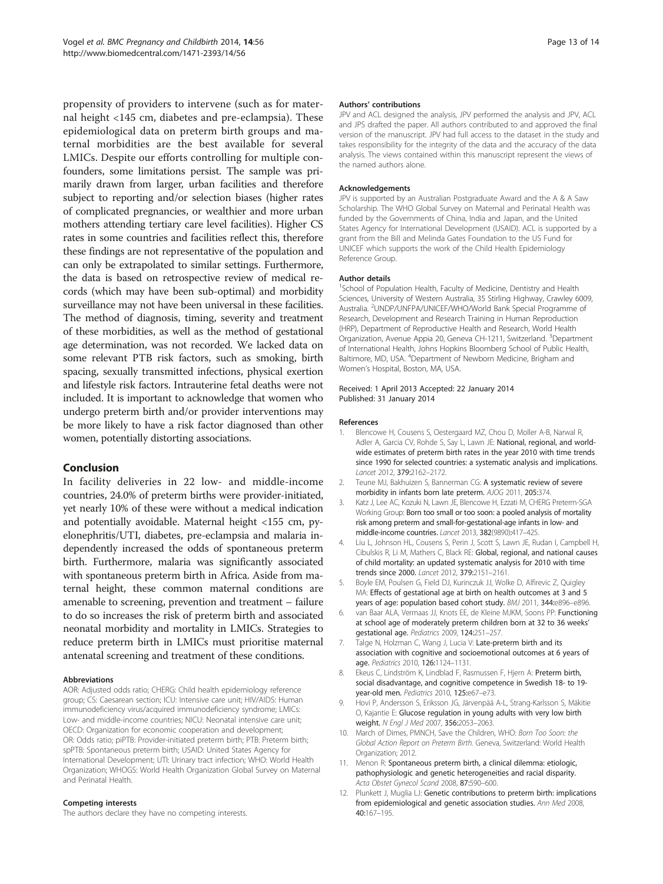<span id="page-12-0"></span>propensity of providers to intervene (such as for maternal height <145 cm, diabetes and pre-eclampsia). These epidemiological data on preterm birth groups and maternal morbidities are the best available for several LMICs. Despite our efforts controlling for multiple confounders, some limitations persist. The sample was primarily drawn from larger, urban facilities and therefore subject to reporting and/or selection biases (higher rates of complicated pregnancies, or wealthier and more urban mothers attending tertiary care level facilities). Higher CS rates in some countries and facilities reflect this, therefore these findings are not representative of the population and can only be extrapolated to similar settings. Furthermore, the data is based on retrospective review of medical records (which may have been sub-optimal) and morbidity surveillance may not have been universal in these facilities. The method of diagnosis, timing, severity and treatment of these morbidities, as well as the method of gestational age determination, was not recorded. We lacked data on some relevant PTB risk factors, such as smoking, birth spacing, sexually transmitted infections, physical exertion and lifestyle risk factors. Intrauterine fetal deaths were not included. It is important to acknowledge that women who undergo preterm birth and/or provider interventions may be more likely to have a risk factor diagnosed than other women, potentially distorting associations.

# Conclusion

In facility deliveries in 22 low- and middle-income countries, 24.0% of preterm births were provider-initiated, yet nearly 10% of these were without a medical indication and potentially avoidable. Maternal height <155 cm, pyelonephritis/UTI, diabetes, pre-eclampsia and malaria independently increased the odds of spontaneous preterm birth. Furthermore, malaria was significantly associated with spontaneous preterm birth in Africa. Aside from maternal height, these common maternal conditions are amenable to screening, prevention and treatment – failure to do so increases the risk of preterm birth and associated neonatal morbidity and mortality in LMICs. Strategies to reduce preterm birth in LMICs must prioritise maternal antenatal screening and treatment of these conditions.

#### Abbreviations

AOR: Adjusted odds ratio; CHERG: Child health epidemiology reference group; CS: Caesarean section; ICU: Intensive care unit; HIV/AIDS: Human immunodeficiency virus/acquired immunodeficiency syndrome; LMICs: Low- and middle-income countries; NICU: Neonatal intensive care unit; OECD: Organization for economic cooperation and development; OR: Odds ratio; piPTB: Provider-initiated preterm birth; PTB: Preterm birth; spPTB: Spontaneous preterm birth; USAID: United States Agency for International Development; UTI: Urinary tract infection; WHO: World Health Organization; WHOGS: World Health Organization Global Survey on Maternal and Perinatal Health.

#### Competing interests

The authors declare they have no competing interests.

#### Authors' contributions

JPV and ACL designed the analysis, JPV performed the analysis and JPV, ACL and JPS drafted the paper. All authors contributed to and approved the final version of the manuscript. JPV had full access to the dataset in the study and takes responsibility for the integrity of the data and the accuracy of the data analysis. The views contained within this manuscript represent the views of the named authors alone.

#### Acknowledgements

JPV is supported by an Australian Postgraduate Award and the A & A Saw Scholarship. The WHO Global Survey on Maternal and Perinatal Health was funded by the Governments of China, India and Japan, and the United States Agency for International Development (USAID). ACL is supported by a grant from the Bill and Melinda Gates Foundation to the US Fund for UNICEF which supports the work of the Child Health Epidemiology Reference Group.

#### Author details

<sup>1</sup>School of Population Health, Faculty of Medicine, Dentistry and Health Sciences, University of Western Australia, 35 Stirling Highway, Crawley 6009, Australia. <sup>2</sup>UNDP/UNFPA/UNICEF/WHO/World Bank Special Programme of Research, Development and Research Training in Human Reproduction (HRP), Department of Reproductive Health and Research, World Health Organization, Avenue Appia 20, Geneva CH-1211, Switzerland. <sup>3</sup>Department of International Health, Johns Hopkins Bloomberg School of Public Health, Baltimore, MD, USA. <sup>4</sup>Department of Newborn Medicine, Brigham and Women's Hospital, Boston, MA, USA.

#### Received: 1 April 2013 Accepted: 22 January 2014 Published: 31 January 2014

#### References

- 1. Blencowe H, Cousens S, Oestergaard MZ, Chou D, Moller A-B, Narwal R, Adler A, Garcia CV, Rohde S, Say L, Lawn JE: National, regional, and worldwide estimates of preterm birth rates in the year 2010 with time trends since 1990 for selected countries: a systematic analysis and implications. Lancet 2012, 379:2162–2172.
- 2. Teune MJ, Bakhuizen S, Bannerman CG: A systematic review of severe morbidity in infants born late preterm. AJOG 2011, 205:374.
- 3. Katz J, Lee AC, Kozuki N, Lawn JE, Blencowe H, Ezzati M, CHERG Preterm-SGA Working Group: Born too small or too soon: a pooled analysis of mortality risk among preterm and small-for-gestational-age infants in low- and middle-income countries. Lancet 2013, 382(9890):417–425.
- 4. Liu L, Johnson HL, Cousens S, Perin J, Scott S, Lawn JE, Rudan I, Campbell H, Cibulskis R, Li M, Mathers C, Black RE: Global, regional, and national causes of child mortality: an updated systematic analysis for 2010 with time trends since 2000. Lancet 2012, 379:2151–2161.
- 5. Boyle EM, Poulsen G, Field DJ, Kurinczuk JJ, Wolke D, Alfirevic Z, Quigley MA: Effects of gestational age at birth on health outcomes at 3 and 5 years of age: population based cohort study. BMJ 2011, 344:e896–e896.
- 6. van Baar ALA, Vermaas JJ, Knots EE, de Kleine MJKM, Soons PP: Functioning at school age of moderately preterm children born at 32 to 36 weeks' gestational age. Pediatrics 2009, 124:251–257.
- 7. Talge N, Holzman C, Wang J, Lucia V: Late-preterm birth and its association with cognitive and socioemotional outcomes at 6 years of age. Pediatrics 2010, 126:1124–1131.
- 8. Ekeus C, Lindström K, Lindblad F, Rasmussen F, Hjern A: Preterm birth, social disadvantage, and cognitive competence in Swedish 18- to 19 year-old men. Pediatrics 2010, 125:e67–e73.
- 9. Hovi P, Andersson S, Eriksson JG, Järvenpää A-L, Strang-Karlsson S, Mäkitie O, Kajantie E: Glucose regulation in young adults with very low birth weight. N Engl J Med 2007, 356:2053-2063.
- 10. March of Dimes, PMNCH, Save the Children, WHO: Born Too Soon: the Global Action Report on Preterm Birth. Geneva, Switzerland: World Health Organization; 2012.
- 11. Menon R: Spontaneous preterm birth, a clinical dilemma: etiologic, pathophysiologic and genetic heterogeneities and racial disparity. Acta Obstet Gynecol Scand 2008, 87:590-600.
- 12. Plunkett J, Muglia LJ: Genetic contributions to preterm birth: implications from epidemiological and genetic association studies. Ann Med 2008, 40:167–195.